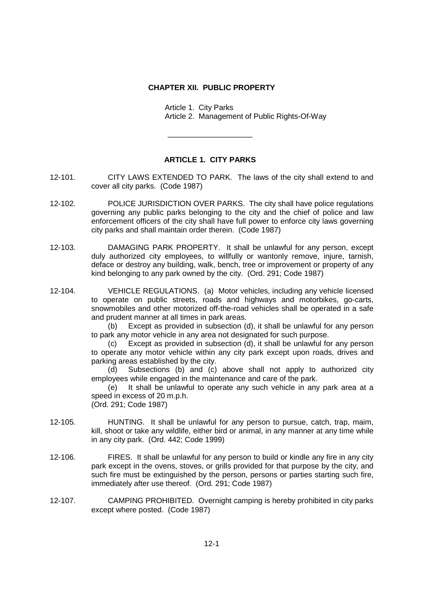## **CHAPTER XII. PUBLIC PROPERTY**

Article 1. City Parks Article 2. Management of Public Rights-Of-Way

## **ARTICLE 1. CITY PARKS**

\_\_\_\_\_\_\_\_\_\_\_\_\_\_\_\_\_\_\_\_

- 12-101. CITY LAWS EXTENDED TO PARK. The laws of the city shall extend to and cover all city parks. (Code 1987)
- 12-102. POLICE JURISDICTION OVER PARKS. The city shall have police regulations governing any public parks belonging to the city and the chief of police and law enforcement officers of the city shall have full power to enforce city laws governing city parks and shall maintain order therein. (Code 1987)
- 12-103. DAMAGING PARK PROPERTY. It shall be unlawful for any person, except duly authorized city employees, to willfully or wantonly remove, injure, tarnish, deface or destroy any building, walk, bench, tree or improvement or property of any kind belonging to any park owned by the city. (Ord. 291; Code 1987)
- 12-104. VEHICLE REGULATIONS. (a) Motor vehicles, including any vehicle licensed to operate on public streets, roads and highways and motorbikes, go-carts, snowmobiles and other motorized off-the-road vehicles shall be operated in a safe and prudent manner at all times in park areas.

(b) Except as provided in subsection (d), it shall be unlawful for any person to park any motor vehicle in any area not designated for such purpose.

(c) Except as provided in subsection (d), it shall be unlawful for any person to operate any motor vehicle within any city park except upon roads, drives and parking areas established by the city.

(d) Subsections (b) and (c) above shall not apply to authorized city employees while engaged in the maintenance and care of the park.

(e) It shall be unlawful to operate any such vehicle in any park area at a speed in excess of 20 m.p.h.

(Ord. 291; Code 1987)

- 12-105. HUNTING. It shall be unlawful for any person to pursue, catch, trap, maim, kill, shoot or take any wildlife, either bird or animal, in any manner at any time while in any city park. (Ord. 442; Code 1999)
- 12-106. FIRES. It shall be unlawful for any person to build or kindle any fire in any city park except in the ovens, stoves, or grills provided for that purpose by the city, and such fire must be extinguished by the person, persons or parties starting such fire, immediately after use thereof. (Ord. 291; Code 1987)
- 12-107. CAMPING PROHIBITED. Overnight camping is hereby prohibited in city parks except where posted. (Code 1987)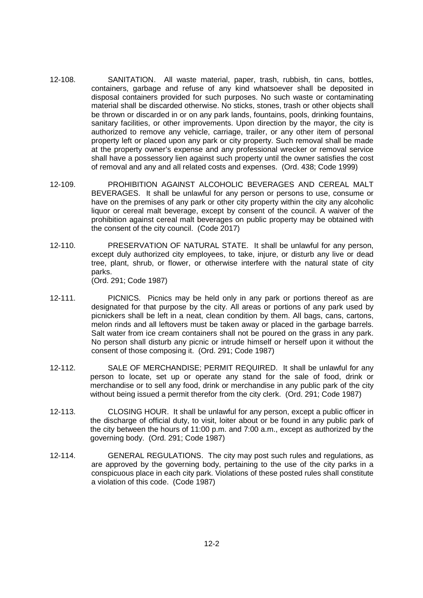- 12-108. SANITATION. All waste material, paper, trash, rubbish, tin cans, bottles, containers, garbage and refuse of any kind whatsoever shall be deposited in disposal containers provided for such purposes. No such waste or contaminating material shall be discarded otherwise. No sticks, stones, trash or other objects shall be thrown or discarded in or on any park lands, fountains, pools, drinking fountains, sanitary facilities, or other improvements. Upon direction by the mayor, the city is authorized to remove any vehicle, carriage, trailer, or any other item of personal property left or placed upon any park or city property. Such removal shall be made at the property owner's expense and any professional wrecker or removal service shall have a possessory lien against such property until the owner satisfies the cost of removal and any and all related costs and expenses. (Ord. 438; Code 1999)
- 12-109. PROHIBITION AGAINST ALCOHOLIC BEVERAGES AND CEREAL MALT BEVERAGES. It shall be unlawful for any person or persons to use, consume or have on the premises of any park or other city property within the city any alcoholic liquor or cereal malt beverage, except by consent of the council. A waiver of the prohibition against cereal malt beverages on public property may be obtained with the consent of the city council. (Code 2017)
- 12-110. PRESERVATION OF NATURAL STATE. It shall be unlawful for any person, except duly authorized city employees, to take, injure, or disturb any live or dead tree, plant, shrub, or flower, or otherwise interfere with the natural state of city parks. (Ord. 291; Code 1987)
- 12-111. PICNICS. Picnics may be held only in any park or portions thereof as are designated for that purpose by the city. All areas or portions of any park used by picnickers shall be left in a neat, clean condition by them. All bags, cans, cartons, melon rinds and all leftovers must be taken away or placed in the garbage barrels. Salt water from ice cream containers shall not be poured on the grass in any park. No person shall disturb any picnic or intrude himself or herself upon it without the consent of those composing it. (Ord. 291; Code 1987)
- 12-112. SALE OF MERCHANDISE; PERMIT REQUIRED. It shall be unlawful for any person to locate, set up or operate any stand for the sale of food, drink or merchandise or to sell any food, drink or merchandise in any public park of the city without being issued a permit therefor from the city clerk. (Ord. 291; Code 1987)
- 12-113. CLOSING HOUR. It shall be unlawful for any person, except a public officer in the discharge of official duty, to visit, loiter about or be found in any public park of the city between the hours of 11:00 p.m. and 7:00 a.m., except as authorized by the governing body. (Ord. 291; Code 1987)
- 12-114. GENERAL REGULATIONS. The city may post such rules and regulations, as are approved by the governing body, pertaining to the use of the city parks in a conspicuous place in each city park. Violations of these posted rules shall constitute a violation of this code. (Code 1987)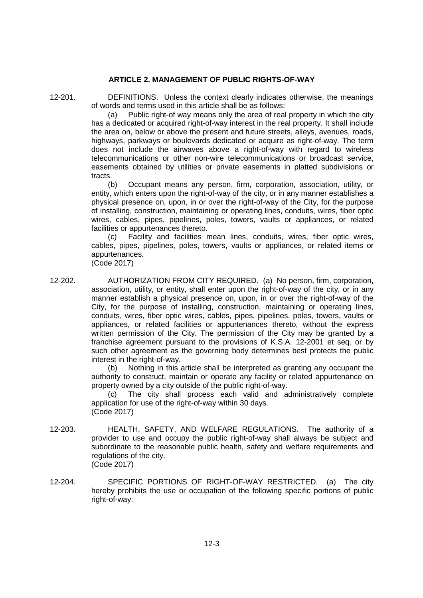## **ARTICLE 2. MANAGEMENT OF PUBLIC RIGHTS-OF-WAY**

12-201. DEFINITIONS. Unless the context clearly indicates otherwise, the meanings of words and terms used in this article shall be as follows:

(a) Public right-of way means only the area of real property in which the city has a dedicated or acquired right-of-way interest in the real property. It shall include the area on, below or above the present and future streets, alleys, avenues, roads, highways, parkways or boulevards dedicated or acquire as right-of-way. The term does not include the airwaves above a right-of-way with regard to wireless telecommunications or other non-wire telecommunications or broadcast service, easements obtained by utilities or private easements in platted subdivisions or tracts.

(b) Occupant means any person, firm, corporation, association, utility, or entity, which enters upon the right-of-way of the city, or in any manner establishes a physical presence on, upon, in or over the right-of-way of the City, for the purpose of installing, construction, maintaining or operating lines, conduits, wires, fiber optic wires, cables, pipes, pipelines, poles, towers, vaults or appliances, or related facilities or appurtenances thereto.

(c) Facility and facilities mean lines, conduits, wires, fiber optic wires, cables, pipes, pipelines, poles, towers, vaults or appliances, or related items or appurtenances.

(Code 2017)

12-202. AUTHORIZATION FROM CITY REQUIRED. (a) No person, firm, corporation, association, utility, or entity, shall enter upon the right-of-way of the city, or in any manner establish a physical presence on, upon, in or over the right-of-way of the City, for the purpose of installing, construction, maintaining or operating lines, conduits, wires, fiber optic wires, cables, pipes, pipelines, poles, towers, vaults or appliances, or related facilities or appurtenances thereto, without the express written permission of the City. The permission of the City may be granted by a franchise agreement pursuant to the provisions of K.S.A. 12-2001 et seq. or by such other agreement as the governing body determines best protects the public interest in the right-of-way.

(b) Nothing in this article shall be interpreted as granting any occupant the authority to construct, maintain or operate any facility or related appurtenance on property owned by a city outside of the public right-of-way.

(c) The city shall process each valid and administratively complete application for use of the right-of-way within 30 days. (Code 2017)

- 12-203. HEALTH, SAFETY, AND WELFARE REGULATIONS. The authority of a provider to use and occupy the public right-of-way shall always be subject and subordinate to the reasonable public health, safety and welfare requirements and regulations of the city. (Code 2017)
- 12-204. SPECIFIC PORTIONS OF RIGHT-OF-WAY RESTRICTED. (a) The city hereby prohibits the use or occupation of the following specific portions of public right-of-way: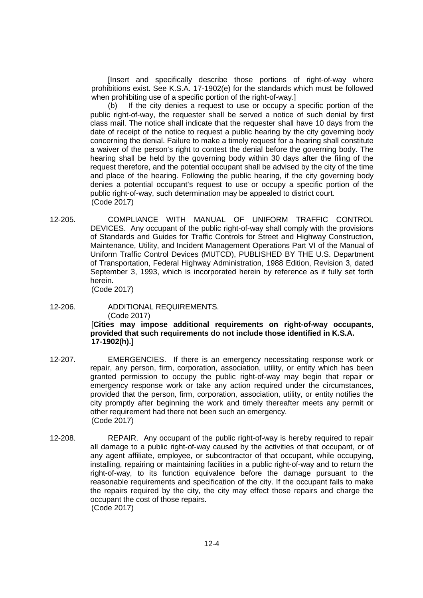[Insert and specifically describe those portions of right-of-way where prohibitions exist. See K.S.A. 17-1902(e) for the standards which must be followed when prohibiting use of a specific portion of the right-of-way.]

(b) If the city denies a request to use or occupy a specific portion of the public right-of-way, the requester shall be served a notice of such denial by first class mail. The notice shall indicate that the requester shall have 10 days from the date of receipt of the notice to request a public hearing by the city governing body concerning the denial. Failure to make a timely request for a hearing shall constitute a waiver of the person's right to contest the denial before the governing body. The hearing shall be held by the governing body within 30 days after the filing of the request therefore, and the potential occupant shall be advised by the city of the time and place of the hearing. Following the public hearing, if the city governing body denies a potential occupant's request to use or occupy a specific portion of the public right-of-way, such determination may be appealed to district court. (Code 2017)

12-205. COMPLIANCE WITH MANUAL OF UNIFORM TRAFFIC CONTROL DEVICES. Any occupant of the public right-of-way shall comply with the provisions of Standards and Guides for Traffic Controls for Street and Highway Construction, Maintenance, Utility, and Incident Management Operations Part VI of the Manual of Uniform Traffic Control Devices (MUTCD), PUBLISHED BY THE U.S. Department of Transportation, Federal Highway Administration, 1988 Edition, Revision 3, dated September 3, 1993, which is incorporated herein by reference as if fully set forth herein.

(Code 2017)

- 12-206. ADDITIONAL REQUIREMENTS. (Code 2017) [**Cities may impose additional requirements on right-of-way occupants, provided that such requirements do not include those identified in K.S.A. 17-1902(h).]**
- 12-207. EMERGENCIES. If there is an emergency necessitating response work or repair, any person, firm, corporation, association, utility, or entity which has been granted permission to occupy the public right-of-way may begin that repair or emergency response work or take any action required under the circumstances, provided that the person, firm, corporation, association, utility, or entity notifies the city promptly after beginning the work and timely thereafter meets any permit or other requirement had there not been such an emergency. (Code 2017)
- 12-208. REPAIR. Any occupant of the public right-of-way is hereby required to repair all damage to a public right-of-way caused by the activities of that occupant, or of any agent affiliate, employee, or subcontractor of that occupant, while occupying, installing, repairing or maintaining facilities in a public right-of-way and to return the right-of-way, to its function equivalence before the damage pursuant to the reasonable requirements and specification of the city. If the occupant fails to make the repairs required by the city, the city may effect those repairs and charge the occupant the cost of those repairs. (Code 2017)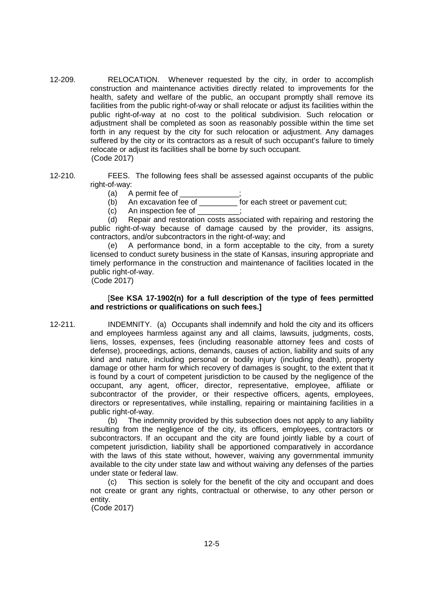- 12-209. RELOCATION. Whenever requested by the city, in order to accomplish construction and maintenance activities directly related to improvements for the health, safety and welfare of the public, an occupant promptly shall remove its facilities from the public right-of-way or shall relocate or adjust its facilities within the public right-of-way at no cost to the political subdivision. Such relocation or adjustment shall be completed as soon as reasonably possible within the time set forth in any request by the city for such relocation or adjustment. Any damages suffered by the city or its contractors as a result of such occupant's failure to timely relocate or adjust its facilities shall be borne by such occupant. (Code 2017)
- 12-210. FEES. The following fees shall be assessed against occupants of the public right-of-way:
	- $(a)$  A permit fee of
	- (b) An excavation fee of \_\_\_\_\_\_\_\_\_ for each street or pavement cut;
	- $(c)$  An inspection fee of  $\frac{1}{c}$ ;

(d) Repair and restoration costs associated with repairing and restoring the public right-of-way because of damage caused by the provider, its assigns, contractors, and/or subcontractors in the right-of-way; and

(e) A performance bond, in a form acceptable to the city, from a surety licensed to conduct surety business in the state of Kansas, insuring appropriate and timely performance in the construction and maintenance of facilities located in the public right-of-way.

(Code 2017)

## [**See KSA 17-1902(n) for a full description of the type of fees permitted and restrictions or qualifications on such fees.]**

12-211. INDEMNITY. (a) Occupants shall indemnify and hold the city and its officers and employees harmless against any and all claims, lawsuits, judgments, costs, liens, losses, expenses, fees (including reasonable attorney fees and costs of defense), proceedings, actions, demands, causes of action, liability and suits of any kind and nature, including personal or bodily injury (including death), property damage or other harm for which recovery of damages is sought, to the extent that it is found by a court of competent jurisdiction to be caused by the negligence of the occupant, any agent, officer, director, representative, employee, affiliate or subcontractor of the provider, or their respective officers, agents, employees, directors or representatives, while installing, repairing or maintaining facilities in a public right-of-way.

> (b) The indemnity provided by this subsection does not apply to any liability resulting from the negligence of the city, its officers, employees, contractors or subcontractors. If an occupant and the city are found jointly liable by a court of competent jurisdiction, liability shall be apportioned comparatively in accordance with the laws of this state without, however, waiving any governmental immunity available to the city under state law and without waiving any defenses of the parties under state or federal law.

> (c) This section is solely for the benefit of the city and occupant and does not create or grant any rights, contractual or otherwise, to any other person or entity.

(Code 2017)